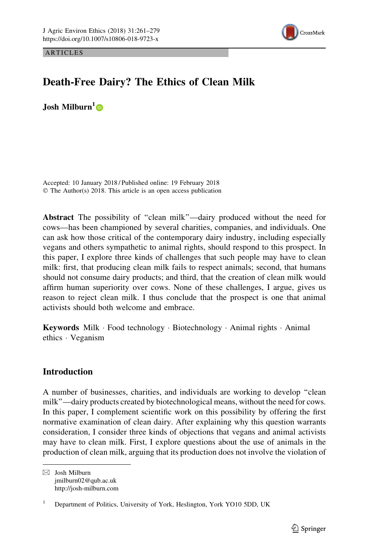

ARTICLES

# Death-Free Dairy? The Ethics of Clean Milk

Josh Milburn<sup>1</sup><sup>o</sup>

Accepted: 10 January 2018 / Published online: 19 February 2018 © The Author(s) 2018. This article is an open access publication

Abstract The possibility of ''clean milk''—dairy produced without the need for cows—has been championed by several charities, companies, and individuals. One can ask how those critical of the contemporary dairy industry, including especially vegans and others sympathetic to animal rights, should respond to this prospect. In this paper, I explore three kinds of challenges that such people may have to clean milk: first, that producing clean milk fails to respect animals; second, that humans should not consume dairy products; and third, that the creation of clean milk would affirm human superiority over cows. None of these challenges, I argue, gives us reason to reject clean milk. I thus conclude that the prospect is one that animal activists should both welcome and embrace.

Keywords Milk · Food technology · Biotechnology · Animal rights · Animal ethics - Veganism

## Introduction

A number of businesses, charities, and individuals are working to develop ''clean milk''—dairy products created by biotechnological means, without the need for cows. In this paper, I complement scientific work on this possibility by offering the first normative examination of clean dairy. After explaining why this question warrants consideration, I consider three kinds of objections that vegans and animal activists may have to clean milk. First, I explore questions about the use of animals in the production of clean milk, arguing that its production does not involve the violation of

 $\boxtimes$  Josh Milburn jmilburn02@qub.ac.uk http://josh-milburn.com

<sup>&</sup>lt;sup>1</sup> Department of Politics, University of York, Heslington, York YO10 5DD, UK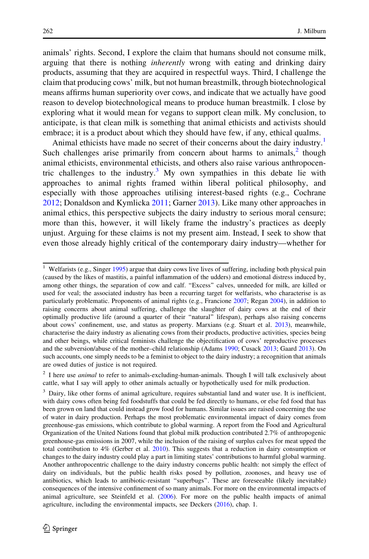animals' rights. Second, I explore the claim that humans should not consume milk, arguing that there is nothing *inherently* wrong with eating and drinking dairy products, assuming that they are acquired in respectful ways. Third, I challenge the claim that producing cows' milk, but not human breastmilk, through biotechnological means affirms human superiority over cows, and indicate that we actually have good reason to develop biotechnological means to produce human breastmilk. I close by exploring what it would mean for vegans to support clean milk. My conclusion, to anticipate, is that clean milk is something that animal ethicists and activists should embrace; it is a product about which they should have few, if any, ethical qualms.

Animal ethicists have made no secret of their concerns about the dairy industry.<sup>1</sup> Such challenges arise primarily from concern about harms to animals, $<sup>2</sup>$  though</sup> animal ethicists, environmental ethicists, and others also raise various anthropocentric challenges to the industry.<sup>3</sup> My own sympathies in this debate lie with approaches to animal rights framed within liberal political philosophy, and especially with those approaches utilising interest-based rights (e.g., Cochrane [2012;](#page-17-0) Donaldson and Kymlicka [2011;](#page-17-0) Garner [2013](#page-17-0)). Like many other approaches in animal ethics, this perspective subjects the dairy industry to serious moral censure; more than this, however, it will likely frame the industry's practices as deeply unjust. Arguing for these claims is not my present aim. Instead, I seek to show that even those already highly critical of the contemporary dairy industry—whether for

<sup>&</sup>lt;sup>1</sup> Welfarists (e.g., Singer [1995\)](#page-18-0) argue that dairy cows live lives of suffering, including both physical pain (caused by the likes of mastitis, a painful inflammation of the udders) and emotional distress induced by, among other things, the separation of cow and calf. ''Excess'' calves, unneeded for milk, are killed or used for veal; the associated industry has been a recurring target for welfarists, who characterise is as particularly problematic. Proponents of animal rights (e.g., Francione [2007](#page-17-0); Regan [2004\)](#page-18-0), in addition to raising concerns about animal suffering, challenge the slaughter of dairy cows at the end of their optimally productive life (around a quarter of their ''natural'' lifespan), perhaps also raising concerns about cows' confinement, use, and status as property. Marxians (e.g. Stuart et al. [2013](#page-18-0)), meanwhile, characterise the dairy industry as alienating cows from their products, productive activities, species being and other beings, while critical feminists challenge the objectification of cows' reproductive processes and the subversion/abuse of the mother–child relationship (Adams [1990](#page-17-0); Cusack [2013](#page-17-0); Gaard [2013\)](#page-17-0). On such accounts, one simply needs to be a feminist to object to the dairy industry; a recognition that animals are owed duties of justice is not required.

 $2$  I here use *animal* to refer to animals-excluding-human-animals. Though I will talk exclusively about cattle, what I say will apply to other animals actually or hypothetically used for milk production.

<sup>&</sup>lt;sup>3</sup> Dairy, like other forms of animal agriculture, requires substantial land and water use. It is inefficient, with dairy cows often being fed foodstuffs that could be fed directly to humans, or else fed food that has been grown on land that could instead grow food for humans. Similar issues are raised concerning the use of water in dairy production. Perhaps the most problematic environmental impact of dairy comes from greenhouse-gas emissions, which contribute to global warming. A report from the Food and Agricultural Organization of the United Nations found that global milk production contributed 2.7% of anthropogenic greenhouse-gas emissions in 2007, while the inclusion of the raising of surplus calves for meat upped the total contribution to 4% (Gerber et al. [2010\)](#page-17-0). This suggests that a reduction in dairy consumption or changes to the dairy industry could play a part in limiting states' contributions to harmful global warming. Another anthropocentric challenge to the dairy industry concerns public health: not simply the effect of dairy on individuals, but the public health risks posed by pollution, zoonoses, and heavy use of antibiotics, which leads to antibiotic-resistant ''superbugs''. These are foreseeable (likely inevitable) consequences of the intensive confinement of so many animals. For more on the environmental impacts of animal agriculture, see Steinfeld et al. ([2006\)](#page-18-0). For more on the public health impacts of animal agriculture, including the environmental impacts, see Deckers ([2016\)](#page-17-0), chap. 1.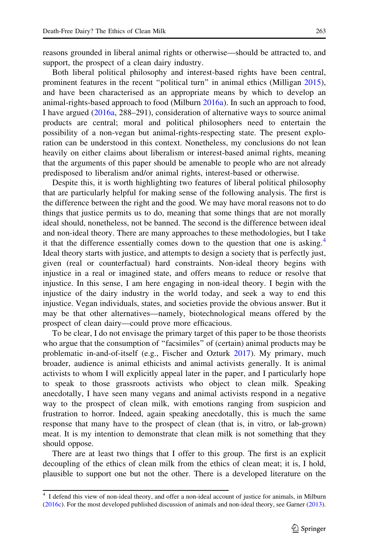reasons grounded in liberal animal rights or otherwise—should be attracted to, and support, the prospect of a clean dairy industry.

Both liberal political philosophy and interest-based rights have been central, prominent features in the recent ''political turn'' in animal ethics (Milligan [2015\)](#page-18-0), and have been characterised as an appropriate means by which to develop an animal-rights-based approach to food (Milburn [2016a](#page-17-0)). In such an approach to food, I have argued [\(2016a,](#page-17-0) 288–291), consideration of alternative ways to source animal products are central; moral and political philosophers need to entertain the possibility of a non-vegan but animal-rights-respecting state. The present exploration can be understood in this context. Nonetheless, my conclusions do not lean heavily on either claims about liberalism or interest-based animal rights, meaning that the arguments of this paper should be amenable to people who are not already predisposed to liberalism and/or animal rights, interest-based or otherwise.

Despite this, it is worth highlighting two features of liberal political philosophy that are particularly helpful for making sense of the following analysis. The first is the difference between the right and the good. We may have moral reasons not to do things that justice permits us to do, meaning that some things that are not morally ideal should, nonetheless, not be banned. The second is the difference between ideal and non-ideal theory. There are many approaches to these methodologies, but I take it that the difference essentially comes down to the question that one is asking.<sup>4</sup> Ideal theory starts with justice, and attempts to design a society that is perfectly just, given (real or counterfactual) hard constraints. Non-ideal theory begins with injustice in a real or imagined state, and offers means to reduce or resolve that injustice. In this sense, I am here engaging in non-ideal theory. I begin with the injustice of the dairy industry in the world today, and seek a way to end this injustice. Vegan individuals, states, and societies provide the obvious answer. But it may be that other alternatives—namely, biotechnological means offered by the prospect of clean dairy—could prove more efficacious.

To be clear, I do not envisage the primary target of this paper to be those theorists who argue that the consumption of "facsimiles" of (certain) animal products may be problematic in-and-of-itself (e.g., Fischer and Ozturk [2017\)](#page-17-0). My primary, much broader, audience is animal ethicists and animal activists generally. It is animal activists to whom I will explicitly appeal later in the paper, and I particularly hope to speak to those grassroots activists who object to clean milk. Speaking anecdotally, I have seen many vegans and animal activists respond in a negative way to the prospect of clean milk, with emotions ranging from suspicion and frustration to horror. Indeed, again speaking anecdotally, this is much the same response that many have to the prospect of clean (that is, in vitro, or lab-grown) meat. It is my intention to demonstrate that clean milk is not something that they should oppose.

There are at least two things that I offer to this group. The first is an explicit decoupling of the ethics of clean milk from the ethics of clean meat; it is, I hold, plausible to support one but not the other. There is a developed literature on the

 $^4$  I defend this view of non-ideal theory, and offer a non-ideal account of justice for animals, in Milburn ([2016c](#page-18-0)). For the most developed published discussion of animals and non-ideal theory, see Garner ([2013\)](#page-17-0).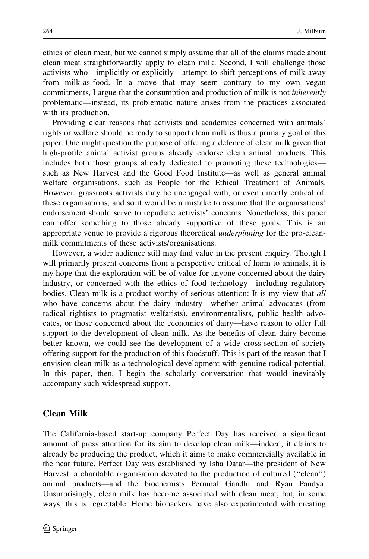ethics of clean meat, but we cannot simply assume that all of the claims made about clean meat straightforwardly apply to clean milk. Second, I will challenge those activists who—implicitly or explicitly—attempt to shift perceptions of milk away from milk-as-food. In a move that may seem contrary to my own vegan commitments, I argue that the consumption and production of milk is not inherently problematic—instead, its problematic nature arises from the practices associated with its production.

Providing clear reasons that activists and academics concerned with animals' rights or welfare should be ready to support clean milk is thus a primary goal of this paper. One might question the purpose of offering a defence of clean milk given that high-profile animal activist groups already endorse clean animal products. This includes both those groups already dedicated to promoting these technologies such as New Harvest and the Good Food Institute—as well as general animal welfare organisations, such as People for the Ethical Treatment of Animals. However, grassroots activists may be unengaged with, or even directly critical of, these organisations, and so it would be a mistake to assume that the organisations' endorsement should serve to repudiate activists' concerns. Nonetheless, this paper can offer something to those already supportive of these goals. This is an appropriate venue to provide a rigorous theoretical *underpinning* for the pro-cleanmilk commitments of these activists/organisations.

However, a wider audience still may find value in the present enquiry. Though I will primarily present concerns from a perspective critical of harm to animals, it is my hope that the exploration will be of value for anyone concerned about the dairy industry, or concerned with the ethics of food technology—including regulatory bodies. Clean milk is a product worthy of serious attention: It is my view that *all* who have concerns about the dairy industry—whether animal advocates (from radical rightists to pragmatist welfarists), environmentalists, public health advocates, or those concerned about the economics of dairy—have reason to offer full support to the development of clean milk. As the benefits of clean dairy become better known, we could see the development of a wide cross-section of society offering support for the production of this foodstuff. This is part of the reason that I envision clean milk as a technological development with genuine radical potential. In this paper, then, I begin the scholarly conversation that would inevitably accompany such widespread support.

### Clean Milk

The California-based start-up company Perfect Day has received a significant amount of press attention for its aim to develop clean milk—indeed, it claims to already be producing the product, which it aims to make commercially available in the near future. Perfect Day was established by Isha Datar—the president of New Harvest, a charitable organisation devoted to the production of cultured (''clean'') animal products—and the biochemists Perumal Gandhi and Ryan Pandya. Unsurprisingly, clean milk has become associated with clean meat, but, in some ways, this is regrettable. Home biohackers have also experimented with creating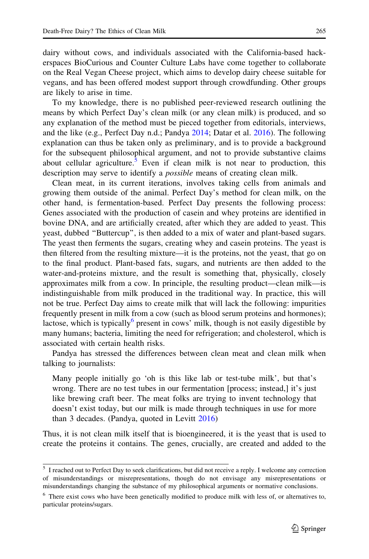dairy without cows, and individuals associated with the California-based hackerspaces BioCurious and Counter Culture Labs have come together to collaborate on the Real Vegan Cheese project, which aims to develop dairy cheese suitable for vegans, and has been offered modest support through crowdfunding. Other groups are likely to arise in time.

To my knowledge, there is no published peer-reviewed research outlining the means by which Perfect Day's clean milk (or any clean milk) is produced, and so any explanation of the method must be pieced together from editorials, interviews, and the like (e.g., Perfect Day n.d.; Pandya [2014;](#page-18-0) Datar et al. [2016](#page-17-0)). The following explanation can thus be taken only as preliminary, and is to provide a background for the subsequent philosophical argument, and not to provide substantive claims about cellular agriculture.<sup>5</sup> Even if clean milk is not near to production, this description may serve to identify a *possible* means of creating clean milk.

Clean meat, in its current iterations, involves taking cells from animals and growing them outside of the animal. Perfect Day's method for clean milk, on the other hand, is fermentation-based. Perfect Day presents the following process: Genes associated with the production of casein and whey proteins are identified in bovine DNA, and are artificially created, after which they are added to yeast. This yeast, dubbed ''Buttercup'', is then added to a mix of water and plant-based sugars. The yeast then ferments the sugars, creating whey and casein proteins. The yeast is then filtered from the resulting mixture—it is the proteins, not the yeast, that go on to the final product. Plant-based fats, sugars, and nutrients are then added to the water-and-proteins mixture, and the result is something that, physically, closely approximates milk from a cow. In principle, the resulting product—clean milk—is indistinguishable from milk produced in the traditional way. In practice, this will not be true. Perfect Day aims to create milk that will lack the following: impurities frequently present in milk from a cow (such as blood serum proteins and hormones); lactose, which is typically<sup>6</sup> present in cows' milk, though is not easily digestible by many humans; bacteria, limiting the need for refrigeration; and cholesterol, which is associated with certain health risks.

Pandya has stressed the differences between clean meat and clean milk when talking to journalists:

Many people initially go 'oh is this like lab or test-tube milk', but that's wrong. There are no test tubes in our fermentation [process; instead,] it's just like brewing craft beer. The meat folks are trying to invent technology that doesn't exist today, but our milk is made through techniques in use for more than 3 decades. (Pandya, quoted in Levitt [2016](#page-17-0))

Thus, it is not clean milk itself that is bioengineered, it is the yeast that is used to create the proteins it contains. The genes, crucially, are created and added to the

<sup>5</sup> I reached out to Perfect Day to seek clarifications, but did not receive a reply. I welcome any correction of misunderstandings or misrepresentations, though do not envisage any misrepresentations or misunderstandings changing the substance of my philosophical arguments or normative conclusions.

<sup>6</sup> There exist cows who have been genetically modified to produce milk with less of, or alternatives to, particular proteins/sugars.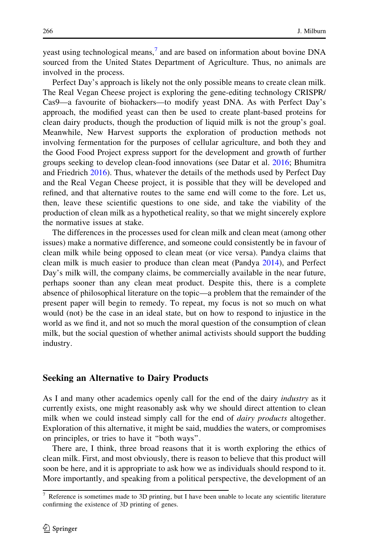yeast using technological means,<sup>7</sup> and are based on information about bovine DNA sourced from the United States Department of Agriculture. Thus, no animals are involved in the process.

Perfect Day's approach is likely not the only possible means to create clean milk. The Real Vegan Cheese project is exploring the gene-editing technology CRISPR/ Cas9—a favourite of biohackers—to modify yeast DNA. As with Perfect Day's approach, the modified yeast can then be used to create plant-based proteins for clean dairy products, though the production of liquid milk is not the group's goal. Meanwhile, New Harvest supports the exploration of production methods not involving fermentation for the purposes of cellular agriculture, and both they and the Good Food Project express support for the development and growth of further groups seeking to develop clean-food innovations (see Datar et al. [2016;](#page-17-0) Bhumitra and Friedrich [2016\)](#page-17-0). Thus, whatever the details of the methods used by Perfect Day and the Real Vegan Cheese project, it is possible that they will be developed and refined, and that alternative routes to the same end will come to the fore. Let us, then, leave these scientific questions to one side, and take the viability of the production of clean milk as a hypothetical reality, so that we might sincerely explore the normative issues at stake.

The differences in the processes used for clean milk and clean meat (among other issues) make a normative difference, and someone could consistently be in favour of clean milk while being opposed to clean meat (or vice versa). Pandya claims that clean milk is much easier to produce than clean meat (Pandya [2014\)](#page-18-0), and Perfect Day's milk will, the company claims, be commercially available in the near future, perhaps sooner than any clean meat product. Despite this, there is a complete absence of philosophical literature on the topic—a problem that the remainder of the present paper will begin to remedy. To repeat, my focus is not so much on what would (not) be the case in an ideal state, but on how to respond to injustice in the world as we find it, and not so much the moral question of the consumption of clean milk, but the social question of whether animal activists should support the budding industry.

#### Seeking an Alternative to Dairy Products

As I and many other academics openly call for the end of the dairy *industry* as it currently exists, one might reasonably ask why we should direct attention to clean milk when we could instead simply call for the end of *dairy products* altogether. Exploration of this alternative, it might be said, muddies the waters, or compromises on principles, or tries to have it ''both ways''.

There are, I think, three broad reasons that it is worth exploring the ethics of clean milk. First, and most obviously, there is reason to believe that this product will soon be here, and it is appropriate to ask how we as individuals should respond to it. More importantly, and speaking from a political perspective, the development of an

<sup>&</sup>lt;sup>7</sup> Reference is sometimes made to 3D printing, but I have been unable to locate any scientific literature confirming the existence of 3D printing of genes.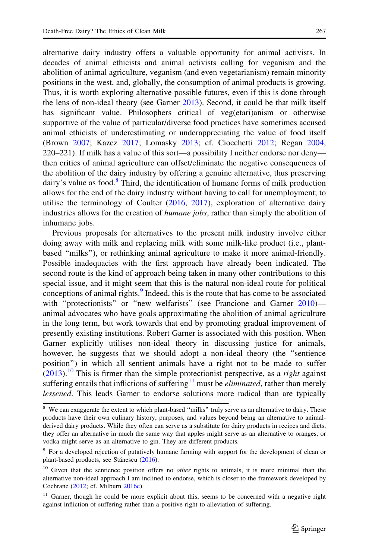alternative dairy industry offers a valuable opportunity for animal activists. In decades of animal ethicists and animal activists calling for veganism and the abolition of animal agriculture, veganism (and even vegetarianism) remain minority positions in the west, and, globally, the consumption of animal products is growing. Thus, it is worth exploring alternative possible futures, even if this is done through the lens of non-ideal theory (see Garner [2013](#page-17-0)). Second, it could be that milk itself has significant value. Philosophers critical of veg(etari)anism or otherwise supportive of the value of particular/diverse food practices have sometimes accused animal ethicists of underestimating or underappreciating the value of food itself (Brown [2007;](#page-17-0) Kazez [2017](#page-17-0); Lomasky [2013](#page-17-0); cf. Ciocchetti [2012;](#page-17-0) Regan [2004,](#page-18-0) 220–221). If milk has a value of this sort—a possibility I neither endorse nor deny then critics of animal agriculture can offset/eliminate the negative consequences of the abolition of the dairy industry by offering a genuine alternative, thus preserving dairy's value as food.<sup>8</sup> Third, the identification of humane forms of milk production allows for the end of the dairy industry without having to call for unemployment; to utilise the terminology of Coulter ([2016,](#page-17-0) [2017\)](#page-17-0), exploration of alternative dairy industries allows for the creation of *humane jobs*, rather than simply the abolition of inhumane jobs.

Previous proposals for alternatives to the present milk industry involve either doing away with milk and replacing milk with some milk-like product (i.e., plantbased ''milks''), or rethinking animal agriculture to make it more animal-friendly. Possible inadequacies with the first approach have already been indicated. The second route is the kind of approach being taken in many other contributions to this special issue, and it might seem that this is the natural non-ideal route for political conceptions of animal rights. $9$  Indeed, this is the route that has come to be associated with "protectionists" or "new welfarists" (see Francione and Garner [2010](#page-17-0)) animal advocates who have goals approximating the abolition of animal agriculture in the long term, but work towards that end by promoting gradual improvement of presently existing institutions. Robert Garner is associated with this position. When Garner explicitly utilises non-ideal theory in discussing justice for animals, however, he suggests that we should adopt a non-ideal theory (the "sentience" position'') in which all sentient animals have a right not to be made to suffer  $(2013)$  $(2013)$ .<sup>10</sup> This is firmer than the simple protectionist perspective, as a *right* against suffering entails that inflictions of suffering<sup>11</sup> must be *eliminated*, rather than merely lessened. This leads Garner to endorse solutions more radical than are typically

<sup>&</sup>lt;sup>8</sup> We can exaggerate the extent to which plant-based "milks" truly serve as an alternative to dairy. These products have their own culinary history, purposes, and values beyond being an alternative to animalderived dairy products. While they often can serve as a substitute for dairy products in recipes and diets, they offer an alternative in much the same way that apples might serve as an alternative to oranges, or vodka might serve as an alternative to gin. They are different products.

<sup>&</sup>lt;sup>9</sup> For a developed rejection of putatively humane farming with support for the development of clean or plant-based products, see Stănescu ([2016\)](#page-18-0).

<sup>&</sup>lt;sup>10</sup> Given that the sentience position offers no *other* rights to animals, it is more minimal than the alternative non-ideal approach I am inclined to endorse, which is closer to the framework developed by Cochrane ([2012;](#page-17-0) cf. Milburn [2016c\)](#page-18-0).

<sup>&</sup>lt;sup>11</sup> Garner, though he could be more explicit about this, seems to be concerned with a negative right against infliction of suffering rather than a positive right to alleviation of suffering.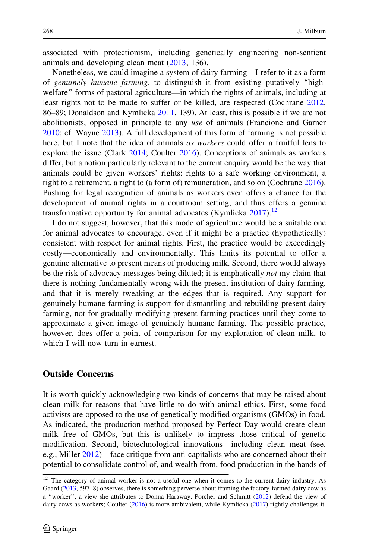associated with protectionism, including genetically engineering non-sentient animals and developing clean meat ([2013,](#page-17-0) 136).

Nonetheless, we could imagine a system of dairy farming—I refer to it as a form of genuinely humane farming, to distinguish it from existing putatively ''highwelfare'' forms of pastoral agriculture—in which the rights of animals, including at least rights not to be made to suffer or be killed, are respected (Cochrane [2012,](#page-17-0) 86–89; Donaldson and Kymlicka [2011,](#page-17-0) 139). At least, this is possible if we are not abolitionists, opposed in principle to any use of animals (Francione and Garner [2010;](#page-17-0) cf. Wayne [2013\)](#page-18-0). A full development of this form of farming is not possible here, but I note that the idea of animals *as workers* could offer a fruitful lens to explore the issue (Clark [2014;](#page-17-0) Coulter [2016\)](#page-17-0). Conceptions of animals as workers differ, but a notion particularly relevant to the current enquiry would be the way that animals could be given workers' rights: rights to a safe working environment, a right to a retirement, a right to (a form of) remuneration, and so on (Cochrane [2016\)](#page-17-0). Pushing for legal recognition of animals as workers even offers a chance for the development of animal rights in a courtroom setting, and thus offers a genuine transformative opportunity for animal advocates (Kymlicka  $2017$ ).<sup>12</sup>

I do not suggest, however, that this mode of agriculture would be a suitable one for animal advocates to encourage, even if it might be a practice (hypothetically) consistent with respect for animal rights. First, the practice would be exceedingly costly—economically and environmentally. This limits its potential to offer a genuine alternative to present means of producing milk. Second, there would always be the risk of advocacy messages being diluted; it is emphatically *not* my claim that there is nothing fundamentally wrong with the present institution of dairy farming, and that it is merely tweaking at the edges that is required. Any support for genuinely humane farming is support for dismantling and rebuilding present dairy farming, not for gradually modifying present farming practices until they come to approximate a given image of genuinely humane farming. The possible practice, however, does offer a point of comparison for my exploration of clean milk, to which I will now turn in earnest.

#### Outside Concerns

It is worth quickly acknowledging two kinds of concerns that may be raised about clean milk for reasons that have little to do with animal ethics. First, some food activists are opposed to the use of genetically modified organisms (GMOs) in food. As indicated, the production method proposed by Perfect Day would create clean milk free of GMOs, but this is unlikely to impress those critical of genetic modification. Second, biotechnological innovations—including clean meat (see, e.g., Miller [2012](#page-18-0))—face critique from anti-capitalists who are concerned about their potential to consolidate control of, and wealth from, food production in the hands of

<sup>&</sup>lt;sup>12</sup> The category of animal worker is not a useful one when it comes to the current dairy industry. As Gaard [\(2013,](#page-17-0) 597–8) observes, there is something perverse about framing the factory-farmed dairy cow as a ''worker'', a view she attributes to Donna Haraway. Porcher and Schmitt [\(2012](#page-18-0)) defend the view of dairy cows as workers; Coulter ([2016\)](#page-17-0) is more ambivalent, while Kymlicka [\(2017\)](#page-17-0) rightly challenges it.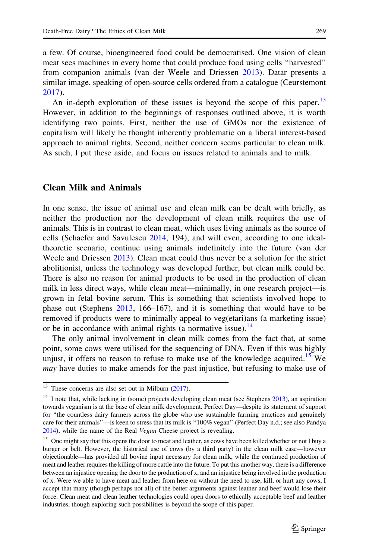a few. Of course, bioengineered food could be democratised. One vision of clean meat sees machines in every home that could produce food using cells ''harvested'' from companion animals (van der Weele and Driessen [2013](#page-18-0)). Datar presents a similar image, speaking of open-source cells ordered from a catalogue (Ceurstemont [2017\)](#page-17-0).

An in-depth exploration of these issues is beyond the scope of this paper.<sup>13</sup> However, in addition to the beginnings of responses outlined above, it is worth identifying two points. First, neither the use of GMOs nor the existence of capitalism will likely be thought inherently problematic on a liberal interest-based approach to animal rights. Second, neither concern seems particular to clean milk. As such, I put these aside, and focus on issues related to animals and to milk.

#### Clean Milk and Animals

In one sense, the issue of animal use and clean milk can be dealt with briefly, as neither the production nor the development of clean milk requires the use of animals. This is in contrast to clean meat, which uses living animals as the source of cells (Schaefer and Savulescu [2014](#page-18-0), 194), and will even, according to one idealtheoretic scenario, continue using animals indefinitely into the future (van der Weele and Driessen [2013](#page-18-0)). Clean meat could thus never be a solution for the strict abolitionist, unless the technology was developed further, but clean milk could be. There is also no reason for animal products to be used in the production of clean milk in less direct ways, while clean meat—minimally, in one research project—is grown in fetal bovine serum. This is something that scientists involved hope to phase out (Stephens [2013,](#page-18-0) 166–167), and it is something that would have to be removed if products were to minimally appeal to veg(etari)ans (a marketing issue) or be in accordance with animal rights (a normative issue). $14$ 

The only animal involvement in clean milk comes from the fact that, at some point, some cows were utilised for the sequencing of DNA. Even if this was highly unjust, it offers no reason to refuse to make use of the knowledge acquired.<sup>15</sup> We *may* have duties to make amends for the past injustice, but refusing to make use of

 $\frac{13}{13}$  These concerns are also set out in Milburn [\(2017](#page-18-0)).

<sup>&</sup>lt;sup>14</sup> I note that, while lacking in (some) projects developing clean meat (see Stephens [2013](#page-18-0)), an aspiration towards veganism is at the base of clean milk development. Perfect Day—despite its statement of support for ''the countless dairy farmers across the globe who use sustainable farming practices and genuinely care for their animals''—is keen to stress that its milk is ''100% vegan'' (Perfect Day n.d.; see also Pandya [2014\)](#page-18-0), while the name of the Real Vegan Cheese project is revealing.

<sup>&</sup>lt;sup>15</sup> One might say that this opens the door to meat and leather, as cows have been killed whether or not I buy a burger or belt. However, the historical use of cows (by a third party) in the clean milk case—however objectionable—has provided all bovine input necessary for clean milk, while the continued production of meat and leather requires the killing of more cattle into the future. To put this another way, there is a difference between an injustice opening the door to the production of x, and an injustice being involved in the production of x. Were we able to have meat and leather from here on without the need to use, kill, or hurt any cows, I accept that many (though perhaps not all) of the better arguments against leather and beef would lose their force. Clean meat and clean leather technologies could open doors to ethically acceptable beef and leather industries, though exploring such possibilities is beyond the scope of this paper.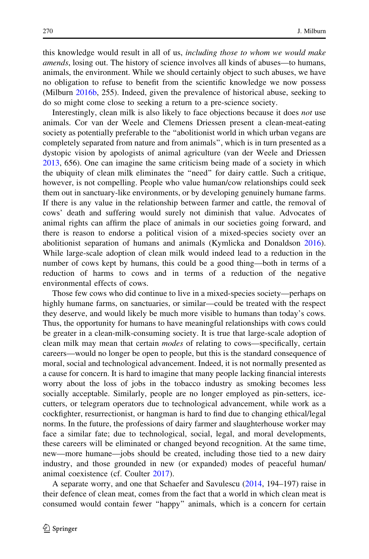this knowledge would result in all of us, including those to whom we would make amends, losing out. The history of science involves all kinds of abuses—to humans, animals, the environment. While we should certainly object to such abuses, we have no obligation to refuse to benefit from the scientific knowledge we now possess (Milburn [2016b](#page-18-0), 255). Indeed, given the prevalence of historical abuse, seeking to do so might come close to seeking a return to a pre-science society.

Interestingly, clean milk is also likely to face objections because it does not use animals. Cor van der Weele and Clemens Driessen present a clean-meat-eating society as potentially preferable to the ''abolitionist world in which urban vegans are completely separated from nature and from animals'', which is in turn presented as a dystopic vision by apologists of animal agriculture (van der Weele and Driessen [2013,](#page-18-0) 656). One can imagine the same criticism being made of a society in which the ubiquity of clean milk eliminates the ''need'' for dairy cattle. Such a critique, however, is not compelling. People who value human/cow relationships could seek them out in sanctuary-like environments, or by developing genuinely humane farms. If there is any value in the relationship between farmer and cattle, the removal of cows' death and suffering would surely not diminish that value. Advocates of animal rights can affirm the place of animals in our societies going forward, and there is reason to endorse a political vision of a mixed-species society over an abolitionist separation of humans and animals (Kymlicka and Donaldson [2016\)](#page-17-0). While large-scale adoption of clean milk would indeed lead to a reduction in the number of cows kept by humans, this could be a good thing—both in terms of a reduction of harms to cows and in terms of a reduction of the negative environmental effects of cows.

Those few cows who did continue to live in a mixed-species society—perhaps on highly humane farms, on sanctuaries, or similar—could be treated with the respect they deserve, and would likely be much more visible to humans than today's cows. Thus, the opportunity for humans to have meaningful relationships with cows could be greater in a clean-milk-consuming society. It is true that large-scale adoption of clean milk may mean that certain *modes* of relating to cows—specifically, certain careers—would no longer be open to people, but this is the standard consequence of moral, social and technological advancement. Indeed, it is not normally presented as a cause for concern. It is hard to imagine that many people lacking financial interests worry about the loss of jobs in the tobacco industry as smoking becomes less socially acceptable. Similarly, people are no longer employed as pin-setters, icecutters, or telegram operators due to technological advancement, while work as a cockfighter, resurrectionist, or hangman is hard to find due to changing ethical/legal norms. In the future, the professions of dairy farmer and slaughterhouse worker may face a similar fate; due to technological, social, legal, and moral developments, these careers will be eliminated or changed beyond recognition. At the same time, new—more humane—jobs should be created, including those tied to a new dairy industry, and those grounded in new (or expanded) modes of peaceful human/ animal coexistence (cf. Coulter [2017](#page-17-0)).

A separate worry, and one that Schaefer and Savulescu [\(2014](#page-18-0), 194–197) raise in their defence of clean meat, comes from the fact that a world in which clean meat is consumed would contain fewer ''happy'' animals, which is a concern for certain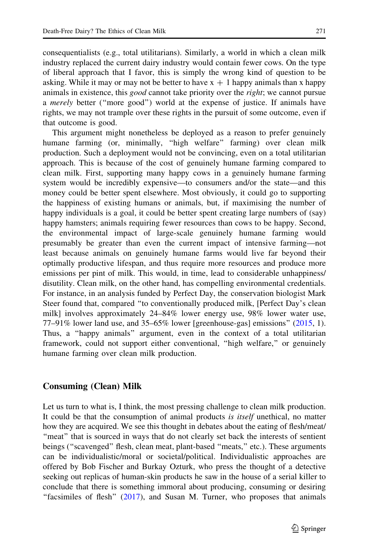consequentialists (e.g., total utilitarians). Similarly, a world in which a clean milk industry replaced the current dairy industry would contain fewer cows. On the type of liberal approach that I favor, this is simply the wrong kind of question to be asking. While it may or may not be better to have  $x + 1$  happy animals than x happy animals in existence, this good cannot take priority over the right; we cannot pursue a merely better (''more good'') world at the expense of justice. If animals have rights, we may not trample over these rights in the pursuit of some outcome, even if that outcome is good.

This argument might nonetheless be deployed as a reason to prefer genuinely humane farming (or, minimally, "high welfare" farming) over clean milk production. Such a deployment would not be convincing, even on a total utilitarian approach. This is because of the cost of genuinely humane farming compared to clean milk. First, supporting many happy cows in a genuinely humane farming system would be incredibly expensive—to consumers and/or the state—and this money could be better spent elsewhere. Most obviously, it could go to supporting the happiness of existing humans or animals, but, if maximising the number of happy individuals is a goal, it could be better spent creating large numbers of (say) happy hamsters; animals requiring fewer resources than cows to be happy. Second, the environmental impact of large-scale genuinely humane farming would presumably be greater than even the current impact of intensive farming—not least because animals on genuinely humane farms would live far beyond their optimally productive lifespan, and thus require more resources and produce more emissions per pint of milk. This would, in time, lead to considerable unhappiness/ disutility. Clean milk, on the other hand, has compelling environmental credentials. For instance, in an analysis funded by Perfect Day, the conservation biologist Mark Steer found that, compared ''to conventionally produced milk, [Perfect Day's clean milk] involves approximately 24–84% lower energy use, 98% lower water use, 77–91% lower land use, and 35–65% lower [greenhouse-gas] emissions'' [\(2015](#page-18-0), 1). Thus, a ''happy animals'' argument, even in the context of a total utilitarian framework, could not support either conventional, ''high welfare,'' or genuinely humane farming over clean milk production.

#### Consuming (Clean) Milk

Let us turn to what is, I think, the most pressing challenge to clean milk production. It could be that the consumption of animal products is itself unethical, no matter how they are acquired. We see this thought in debates about the eating of flesh/meat/ "meat" that is sourced in ways that do not clearly set back the interests of sentient beings ("scavenged" flesh, clean meat, plant-based "meats," etc.). These arguments can be individualistic/moral or societal/political. Individualistic approaches are offered by Bob Fischer and Burkay Ozturk, who press the thought of a detective seeking out replicas of human-skin products he saw in the house of a serial killer to conclude that there is something immoral about producing, consuming or desiring ''facsimiles of flesh'' [\(2017](#page-17-0)), and Susan M. Turner, who proposes that animals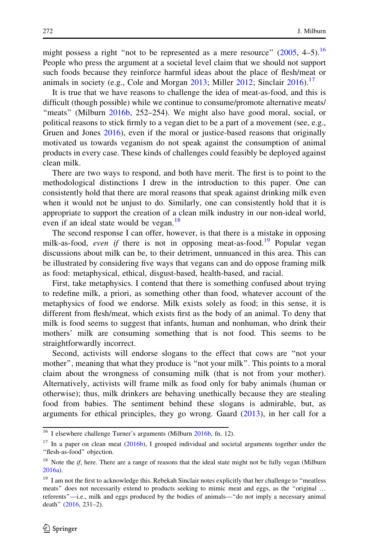might possess a right "not to be represented as a mere resource"  $(2005, 4-5)$  $(2005, 4-5)$  $(2005, 4-5)$ .<sup>16</sup> People who press the argument at a societal level claim that we should not support such foods because they reinforce harmful ideas about the place of flesh/meat or animals in society (e.g., Cole and Morgan [2013;](#page-17-0) Miller [2012](#page-18-0); Sinclair [2016\)](#page-18-0).<sup>17</sup>

It is true that we have reasons to challenge the idea of meat-as-food, and this is difficult (though possible) while we continue to consume/promote alternative meats/ ''meats'' (Milburn [2016b,](#page-18-0) 252–254). We might also have good moral, social, or political reasons to stick firmly to a vegan diet to be a part of a movement (see, e.g., Gruen and Jones [2016\)](#page-17-0), even if the moral or justice-based reasons that originally motivated us towards veganism do not speak against the consumption of animal products in every case. These kinds of challenges could feasibly be deployed against clean milk.

There are two ways to respond, and both have merit. The first is to point to the methodological distinctions I drew in the introduction to this paper. One can consistently hold that there are moral reasons that speak against drinking milk even when it would not be unjust to do. Similarly, one can consistently hold that it is appropriate to support the creation of a clean milk industry in our non-ideal world, even if an ideal state would be vegan.<sup>18</sup>

The second response I can offer, however, is that there is a mistake in opposing milk-as-food, even if there is not in opposing meat-as-food.<sup>19</sup> Popular vegan discussions about milk can be, to their detriment, unnuanced in this area. This can be illustrated by considering five ways that vegans can and do oppose framing milk as food: metaphysical, ethical, disgust-based, health-based, and racial.

First, take metaphysics. I contend that there is something confused about trying to redefine milk, a priori, as something other than food, whatever account of the metaphysics of food we endorse. Milk exists solely as food; in this sense, it is different from flesh/meat, which exists first as the body of an animal. To deny that milk is food seems to suggest that infants, human and nonhuman, who drink their mothers' milk are consuming something that is not food. This seems to be straightforwardly incorrect.

Second, activists will endorse slogans to the effect that cows are ''not your mother'', meaning that what they produce is ''not your milk''. This points to a moral claim about the wrongness of consuming milk (that is not from your mother). Alternatively, activists will frame milk as food only for baby animals (human or otherwise); thus, milk drinkers are behaving unethically because they are stealing food from babies. The sentiment behind these slogans is admirable, but, as arguments for ethical principles, they go wrong. Gaard [\(2013](#page-17-0)), in her call for a

<sup>16</sup> I elsewhere challenge Turner's arguments (Milburn [2016b](#page-18-0), fn. 12).

<sup>&</sup>lt;sup>17</sup> In a paper on clean meat ([2016b](#page-18-0)), I grouped individual and societal arguments together under the ''flesh-as-food'' objection.

 $18$  Note the *if*, here. There are a range of reasons that the ideal state might not be fully vegan (Milburn [2016a](#page-17-0)).

<sup>&</sup>lt;sup>19</sup> I am not the first to acknowledge this. Rebekah Sinclair notes explicitly that her challenge to "meatless meats" does not necessarily extend to products seeking to mimic meat and eggs, as the "original ... referents''—i.e., milk and eggs produced by the bodies of animals—''do not imply a necessary animal death'' ([2016,](#page-18-0) 231–2).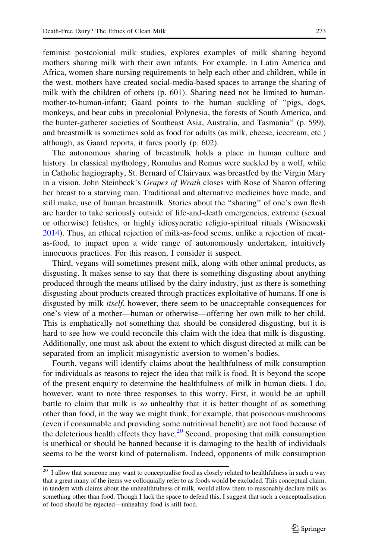feminist postcolonial milk studies, explores examples of milk sharing beyond mothers sharing milk with their own infants. For example, in Latin America and Africa, women share nursing requirements to help each other and children, while in the west, mothers have created social-media-based spaces to arrange the sharing of milk with the children of others (p. 601). Sharing need not be limited to humanmother-to-human-infant; Gaard points to the human suckling of ''pigs, dogs, monkeys, and bear cubs in precolonial Polynesia, the forests of South America, and the hunter-gatherer societies of Southeast Asia, Australia, and Tasmania'' (p. 599), and breastmilk is sometimes sold as food for adults (as milk, cheese, icecream, etc.) although, as Gaard reports, it fares poorly (p. 602).

The autonomous sharing of breastmilk holds a place in human culture and history. In classical mythology, Romulus and Remus were suckled by a wolf, while in Catholic hagiography, St. Bernard of Clairvaux was breastfed by the Virgin Mary in a vision. John Steinbeck's Grapes of Wrath closes with Rose of Sharon offering her breast to a starving man. Traditional and alternative medicines have made, and still make, use of human breastmilk. Stories about the ''sharing'' of one's own flesh are harder to take seriously outside of life-and-death emergencies, extreme (sexual or otherwise) fetishes, or highly idiosyncratic religio-spiritual rituals (Wisnewski [2014\)](#page-18-0). Thus, an ethical rejection of milk-as-food seems, unlike a rejection of meatas-food, to impact upon a wide range of autonomously undertaken, intuitively innocuous practices. For this reason, I consider it suspect.

Third, vegans will sometimes present milk, along with other animal products, as disgusting. It makes sense to say that there is something disgusting about anything produced through the means utilised by the dairy industry, just as there is something disgusting about products created through practices exploitative of humans. If one is disgusted by milk *itself*, however, there seem to be unacceptable consequences for one's view of a mother—human or otherwise—offering her own milk to her child. This is emphatically not something that should be considered disgusting, but it is hard to see how we could reconcile this claim with the idea that milk is disgusting. Additionally, one must ask about the extent to which disgust directed at milk can be separated from an implicit misogynistic aversion to women's bodies.

Fourth, vegans will identify claims about the healthfulness of milk consumption for individuals as reasons to reject the idea that milk is food. It is beyond the scope of the present enquiry to determine the healthfulness of milk in human diets. I do, however, want to note three responses to this worry. First, it would be an uphill battle to claim that milk is so unhealthy that it is better thought of as something other than food, in the way we might think, for example, that poisonous mushrooms (even if consumable and providing some nutritional benefit) are not food because of the deleterious health effects they have.<sup>20</sup> Second, proposing that milk consumption is unethical or should be banned because it is damaging to the health of individuals seems to be the worst kind of paternalism. Indeed, opponents of milk consumption

 $20$  I allow that someone may want to conceptualise food as closely related to healthfulness in such a way that a great many of the items we colloquially refer to as foods would be excluded. This conceptual claim, in tandem with claims about the unhealthfulness of milk, would allow them to reasonably declare milk as something other than food. Though I lack the space to defend this, I suggest that such a conceptualisation of food should be rejected—unhealthy food is still food.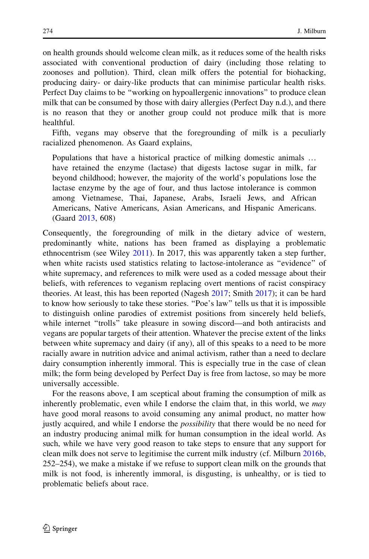on health grounds should welcome clean milk, as it reduces some of the health risks associated with conventional production of dairy (including those relating to zoonoses and pollution). Third, clean milk offers the potential for biohacking, producing dairy- or dairy-like products that can minimise particular health risks. Perfect Day claims to be ''working on hypoallergenic innovations'' to produce clean milk that can be consumed by those with dairy allergies (Perfect Day n.d.), and there is no reason that they or another group could not produce milk that is more healthful.

Fifth, vegans may observe that the foregrounding of milk is a peculiarly racialized phenomenon. As Gaard explains,

Populations that have a historical practice of milking domestic animals … have retained the enzyme (lactase) that digests lactose sugar in milk, far beyond childhood; however, the majority of the world's populations lose the lactase enzyme by the age of four, and thus lactose intolerance is common among Vietnamese, Thai, Japanese, Arabs, Israeli Jews, and African Americans, Native Americans, Asian Americans, and Hispanic Americans. (Gaard [2013](#page-17-0), 608)

Consequently, the foregrounding of milk in the dietary advice of western, predominantly white, nations has been framed as displaying a problematic ethnocentrism (see Wiley [2011](#page-18-0)). In 2017, this was apparently taken a step further, when white racists used statistics relating to lactose-intolerance as "evidence" of white supremacy, and references to milk were used as a coded message about their beliefs, with references to veganism replacing overt mentions of racist conspiracy theories. At least, this has been reported (Nagesh [2017;](#page-18-0) Smith [2017](#page-18-0)); it can be hard to know how seriously to take these stories. ''Poe's law'' tells us that it is impossible to distinguish online parodies of extremist positions from sincerely held beliefs, while internet "trolls" take pleasure in sowing discord—and both antiracists and vegans are popular targets of their attention. Whatever the precise extent of the links between white supremacy and dairy (if any), all of this speaks to a need to be more racially aware in nutrition advice and animal activism, rather than a need to declare dairy consumption inherently immoral. This is especially true in the case of clean milk; the form being developed by Perfect Day is free from lactose, so may be more universally accessible.

For the reasons above, I am sceptical about framing the consumption of milk as inherently problematic, even while I endorse the claim that, in this world, we may have good moral reasons to avoid consuming any animal product, no matter how justly acquired, and while I endorse the *possibility* that there would be no need for an industry producing animal milk for human consumption in the ideal world. As such, while we have very good reason to take steps to ensure that any support for clean milk does not serve to legitimise the current milk industry (cf. Milburn [2016b,](#page-18-0) 252–254), we make a mistake if we refuse to support clean milk on the grounds that milk is not food, is inherently immoral, is disgusting, is unhealthy, or is tied to problematic beliefs about race.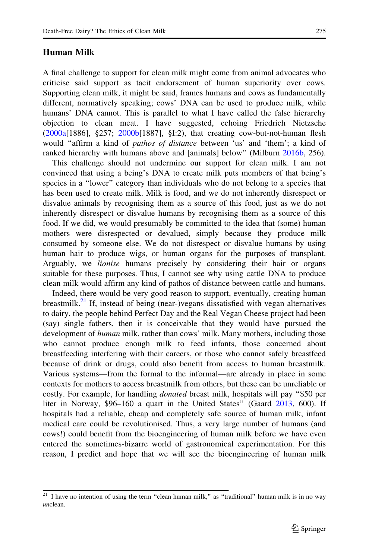A final challenge to support for clean milk might come from animal advocates who criticise said support as tacit endorsement of human superiority over cows. Supporting clean milk, it might be said, frames humans and cows as fundamentally different, normatively speaking; cows' DNA can be used to produce milk, while humans' DNA cannot. This is parallel to what I have called the false hierarchy objection to clean meat. I have suggested, echoing Friedrich Nietzsche  $(2000a[1886], \, \S257; \, 2000b[1887], \, \S1:2)$  $(2000a[1886], \, \S257; \, 2000b[1887], \, \S1:2)$  $(2000a[1886], \, \S257; \, 2000b[1887], \, \S1:2)$  $(2000a[1886], \, \S257; \, 2000b[1887], \, \S1:2)$ , that creating cow-but-not-human flesh would "affirm a kind of pathos of distance between 'us' and 'them'; a kind of ranked hierarchy with humans above and [animals] below'' (Milburn [2016b,](#page-18-0) 256).

This challenge should not undermine our support for clean milk. I am not convinced that using a being's DNA to create milk puts members of that being's species in a ''lower'' category than individuals who do not belong to a species that has been used to create milk. Milk is food, and we do not inherently disrespect or disvalue animals by recognising them as a source of this food, just as we do not inherently disrespect or disvalue humans by recognising them as a source of this food. If we did, we would presumably be committed to the idea that (some) human mothers were disrespected or devalued, simply because they produce milk consumed by someone else. We do not disrespect or disvalue humans by using human hair to produce wigs, or human organs for the purposes of transplant. Arguably, we lionise humans precisely by considering their hair or organs suitable for these purposes. Thus, I cannot see why using cattle DNA to produce clean milk would affirm any kind of pathos of distance between cattle and humans.

Indeed, there would be very good reason to support, eventually, creating human breastmilk.<sup>21</sup> If, instead of being (near-)vegans dissatisfied with vegan alternatives to dairy, the people behind Perfect Day and the Real Vegan Cheese project had been (say) single fathers, then it is conceivable that they would have pursued the development of human milk, rather than cows' milk. Many mothers, including those who cannot produce enough milk to feed infants, those concerned about breastfeeding interfering with their careers, or those who cannot safely breastfeed because of drink or drugs, could also benefit from access to human breastmilk. Various systems—from the formal to the informal—are already in place in some contexts for mothers to access breastmilk from others, but these can be unreliable or costly. For example, for handling *donated* breast milk, hospitals will pay "\$50 per liter in Norway, \$96–160 a quart in the United States'' (Gaard [2013](#page-17-0), 600). If hospitals had a reliable, cheap and completely safe source of human milk, infant medical care could be revolutionised. Thus, a very large number of humans (and cows!) could benefit from the bioengineering of human milk before we have even entered the sometimes-bizarre world of gastronomical experimentation. For this reason, I predict and hope that we will see the bioengineering of human milk

<sup>21</sup> I have no intention of using the term ''clean human milk,'' as ''traditional'' human milk is in no way unclean.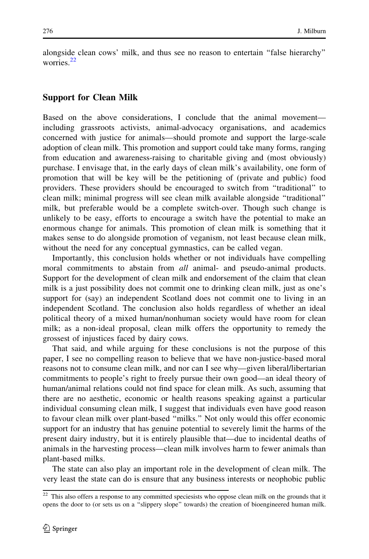alongside clean cows' milk, and thus see no reason to entertain ''false hierarchy'' worries.<sup>22</sup>

#### Support for Clean Milk

Based on the above considerations, I conclude that the animal movement including grassroots activists, animal-advocacy organisations, and academics concerned with justice for animals—should promote and support the large-scale adoption of clean milk. This promotion and support could take many forms, ranging from education and awareness-raising to charitable giving and (most obviously) purchase. I envisage that, in the early days of clean milk's availability, one form of promotion that will be key will be the petitioning of (private and public) food providers. These providers should be encouraged to switch from ''traditional'' to clean milk; minimal progress will see clean milk available alongside ''traditional'' milk, but preferable would be a complete switch-over. Though such change is unlikely to be easy, efforts to encourage a switch have the potential to make an enormous change for animals. This promotion of clean milk is something that it makes sense to do alongside promotion of veganism, not least because clean milk, without the need for any conceptual gymnastics, can be called vegan.

Importantly, this conclusion holds whether or not individuals have compelling moral commitments to abstain from *all* animal- and pseudo-animal products. Support for the development of clean milk and endorsement of the claim that clean milk is a just possibility does not commit one to drinking clean milk, just as one's support for (say) an independent Scotland does not commit one to living in an independent Scotland. The conclusion also holds regardless of whether an ideal political theory of a mixed human/nonhuman society would have room for clean milk; as a non-ideal proposal, clean milk offers the opportunity to remedy the grossest of injustices faced by dairy cows.

That said, and while arguing for these conclusions is not the purpose of this paper, I see no compelling reason to believe that we have non-justice-based moral reasons not to consume clean milk, and nor can I see why—given liberal/libertarian commitments to people's right to freely pursue their own good—an ideal theory of human/animal relations could not find space for clean milk. As such, assuming that there are no aesthetic, economic or health reasons speaking against a particular individual consuming clean milk, I suggest that individuals even have good reason to favour clean milk over plant-based ''milks.'' Not only would this offer economic support for an industry that has genuine potential to severely limit the harms of the present dairy industry, but it is entirely plausible that—due to incidental deaths of animals in the harvesting process—clean milk involves harm to fewer animals than plant-based milks.

The state can also play an important role in the development of clean milk. The very least the state can do is ensure that any business interests or neophobic public

 $\overline{22}$  This also offers a response to any committed speciesists who oppose clean milk on the grounds that it opens the door to (or sets us on a ''slippery slope'' towards) the creation of bioengineered human milk.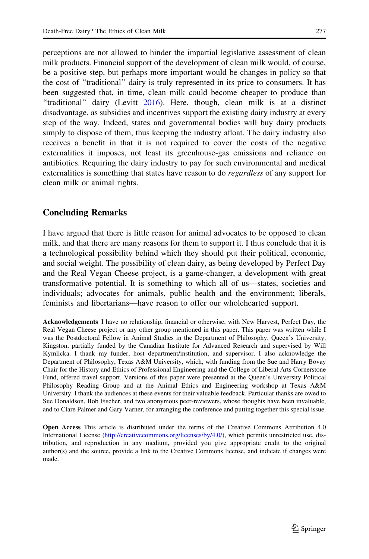perceptions are not allowed to hinder the impartial legislative assessment of clean milk products. Financial support of the development of clean milk would, of course, be a positive step, but perhaps more important would be changes in policy so that the cost of ''traditional'' dairy is truly represented in its price to consumers. It has been suggested that, in time, clean milk could become cheaper to produce than ''traditional'' dairy (Levitt [2016\)](#page-17-0). Here, though, clean milk is at a distinct disadvantage, as subsidies and incentives support the existing dairy industry at every step of the way. Indeed, states and governmental bodies will buy dairy products simply to dispose of them, thus keeping the industry afloat. The dairy industry also receives a benefit in that it is not required to cover the costs of the negative externalities it imposes, not least its greenhouse-gas emissions and reliance on antibiotics. Requiring the dairy industry to pay for such environmental and medical externalities is something that states have reason to do *regardless* of any support for clean milk or animal rights.

#### Concluding Remarks

I have argued that there is little reason for animal advocates to be opposed to clean milk, and that there are many reasons for them to support it. I thus conclude that it is a technological possibility behind which they should put their political, economic, and social weight. The possibility of clean dairy, as being developed by Perfect Day and the Real Vegan Cheese project, is a game-changer, a development with great transformative potential. It is something to which all of us—states, societies and individuals; advocates for animals, public health and the environment; liberals, feminists and libertarians—have reason to offer our wholehearted support.

Acknowledgements I have no relationship, financial or otherwise, with New Harvest, Perfect Day, the Real Vegan Cheese project or any other group mentioned in this paper. This paper was written while I was the Postdoctoral Fellow in Animal Studies in the Department of Philosophy, Queen's University, Kingston, partially funded by the Canadian Institute for Advanced Research and supervised by Will Kymlicka. I thank my funder, host department/institution, and supervisor. I also acknowledge the Department of Philosophy, Texas A&M University, which, with funding from the Sue and Harry Bovay Chair for the History and Ethics of Professional Engineering and the College of Liberal Arts Cornerstone Fund, offered travel support. Versions of this paper were presented at the Queen's University Political Philosophy Reading Group and at the Animal Ethics and Engineering workshop at Texas A&M University. I thank the audiences at these events for their valuable feedback. Particular thanks are owed to Sue Donaldson, Bob Fischer, and two anonymous peer-reviewers, whose thoughts have been invaluable, and to Clare Palmer and Gary Varner, for arranging the conference and putting together this special issue.

Open Access This article is distributed under the terms of the Creative Commons Attribution 4.0 International License ([http://creativecommons.org/licenses/by/4.0/\)](http://creativecommons.org/licenses/by/4.0/), which permits unrestricted use, distribution, and reproduction in any medium, provided you give appropriate credit to the original author(s) and the source, provide a link to the Creative Commons license, and indicate if changes were made.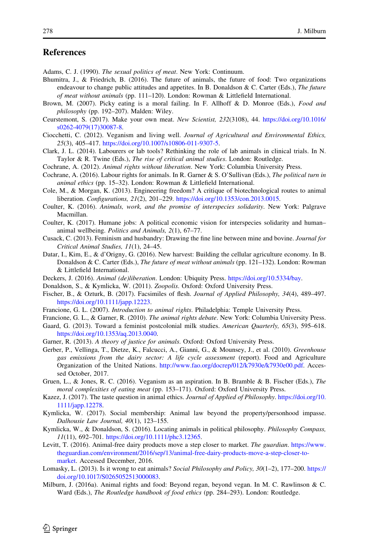#### <span id="page-17-0"></span>**References**

- Adams, C. J. (1990). The sexual politics of meat. New York: Continuum.
- Bhumitra, J., & Friedrich, B. (2016). The future of animals, the future of food: Two organizations endeavour to change public attitudes and appetites. In B. Donaldson & C. Carter (Eds.), The future of meat without animals (pp. 111–120). London: Rowman & Littlefield International.
- Brown, M. (2007). Picky eating is a moral failing. In F. Allhoff & D. Monroe (Eds.), Food and philosophy (pp. 192–207). Malden: Wiley.
- Ceurstemont, S. (2017). Make your own meat. New Scientist, 232(3108), 44. [https://doi.org/10.1016/](https://doi.org/10.1016/s0262-4079(17)30087-8) [s0262-4079\(17\)30087-8](https://doi.org/10.1016/s0262-4079(17)30087-8).
- Ciocchetti, C. (2012). Veganism and living well. Journal of Agricultural and Environmental Ethics, 25(3), 405–417. <https://doi.org/10.1007/s10806-011-9307-5>.
- Clark, J. L. (2014). Labourers or lab tools? Rethinking the role of lab animals in clinical trials. In N. Taylor & R. Twine (Eds.), The rise of critical animal studies. London: Routledge.
- Cochrane, A. (2012). Animal rights without liberation. New York: Columbia University Press.
- Cochrane, A. (2016). Labour rights for animals. In R. Garner & S. O'Sullivan (Eds.), The political turn in animal ethics (pp. 15–32). London: Rowman & Littlefield International.
- Cole, M., & Morgan, K. (2013). Engineering freedom? A critique of biotechnological routes to animal liberation. Configurations, 21(2), 201–229. <https://doi.org/10.1353/con.2013.0015>.
- Coulter, K. (2016). Animals, work, and the promise of interspecies solidarity. New York: Palgrave Macmillan.
- Coulter, K. (2017). Humane jobs: A political economic vision for interspecies solidarity and human– animal wellbeing. Politics and Animals, 2(1), 67–77.
- Cusack, C. (2013). Feminism and husbandry: Drawing the fine line between mine and bovine. Journal for Critical Animal Studies, 11(1), 24–45.
- Datar, I., Kim, E., & d'Origny, G. (2016). New harvest: Building the cellular agriculture economy. In B. Donaldson & C. Carter (Eds.), The future of meat without animals (pp. 121–132). London: Rowman & Littlefield International.
- Deckers, J. (2016). Animal (de)liberation. London: Ubiquity Press. [https://doi.org/10.5334/bay.](https://doi.org/10.5334/bay)
- Donaldson, S., & Kymlicka, W. (2011). Zoopolis. Oxford: Oxford University Press.
- Fischer, B., & Ozturk, B. (2017). Facsimiles of flesh. Journal of Applied Philosophy, 34(4), 489-497. [https://doi.org/10.1111/japp.12223.](https://doi.org/10.1111/japp.12223)
- Francione, G. L. (2007). Introduction to animal rights. Philadelphia: Temple University Press.
- Francione, G. L., & Garner, R. (2010). The animal rights debate. New York: Columbia University Press.
- Gaard, G. (2013). Toward a feminist postcolonial milk studies. American Quarterly, 65(3), 595–618. [https://doi.org/10.1353/aq.2013.0040.](https://doi.org/10.1353/aq.2013.0040)
- Garner, R. (2013). A theory of justice for animals. Oxford: Oxford University Press.
- Gerber, P., Vellinga, T., Dietze, K., Falcucci, A., Gianni, G., & Mounsey, J., et al. (2010). Greenhouse gas emissions from the dairy sector: A life cycle assessment (report). Food and Agriculture Organization of the United Nations. <http://www.fao.org/docrep/012/k7930e/k7930e00.pdf>. Accessed October, 2017.
- Gruen, L., & Jones, R. C. (2016). Veganism as an aspiration. In B. Bramble & B. Fischer (Eds.), The moral complexities of eating meat (pp. 153–171). Oxford: Oxford University Press.
- Kazez, J. (2017). The taste question in animal ethics. Journal of Applied of Philosophy. [https://doi.org/10.](https://doi.org/10.1111/japp.12278) [1111/japp.12278.](https://doi.org/10.1111/japp.12278)
- Kymlicka, W. (2017). Social membership: Animal law beyond the property/personhood impasse. Dalhousie Law Journal, 40(1), 123–155.
- Kymlicka, W., & Donaldson, S. (2016). Locating animals in political philosophy. Philosophy Compass, 11(11), 692–701. [https://doi.org/10.1111/phc3.12365.](https://doi.org/10.1111/phc3.12365)
- Levitt, T. (2016). Animal-free dairy products move a step closer to market. The guardian. [https://www.](https://www.theguardian.com/environment/2016/sep/13/animal-free-dairy-products-move-a-step-closer-to-market) [theguardian.com/environment/2016/sep/13/animal-free-dairy-products-move-a-step-closer-to](https://www.theguardian.com/environment/2016/sep/13/animal-free-dairy-products-move-a-step-closer-to-market)[market](https://www.theguardian.com/environment/2016/sep/13/animal-free-dairy-products-move-a-step-closer-to-market). Accessed December, 2016.
- Lomasky, L. (2013). Is it wrong to eat animals? Social Philosophy and Policy, 30(1-2), 177-200. [https://](https://doi.org/10.1017/S0265052513000083) [doi.org/10.1017/S0265052513000083](https://doi.org/10.1017/S0265052513000083).
- Milburn, J. (2016a). Animal rights and food: Beyond regan, beyond vegan. In M. C. Rawlinson & C. Ward (Eds.), The Routledge handbook of food ethics (pp. 284–293). London: Routledge.